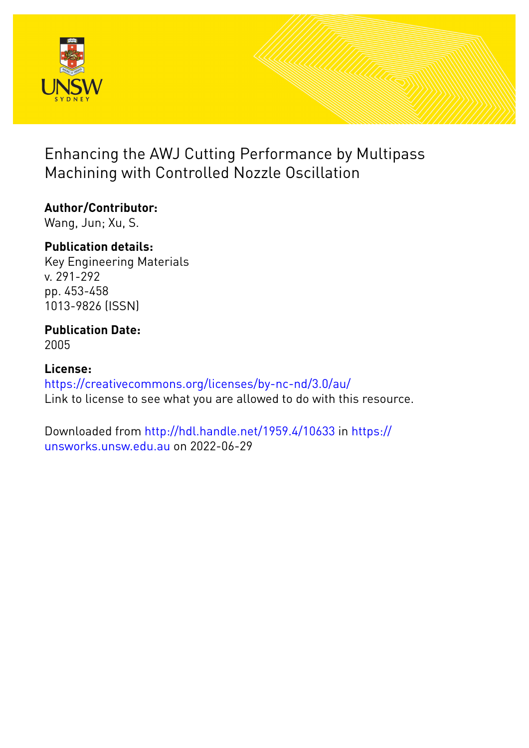

# Enhancing the AWJ Cutting Performance by Multipass Machining with Controlled Nozzle Oscillation

## **Author/Contributor:**

Wang, Jun; Xu, S.

## **Publication details:**

Key Engineering Materials v. 291-292 pp. 453-458 1013-9826 (ISSN)

### **Publication Date:** 2005

## **License:** <https://creativecommons.org/licenses/by-nc-nd/3.0/au/> Link to license to see what you are allowed to do with this resource.

Downloaded from <http://hdl.handle.net/1959.4/10633> in [https://](https://unsworks.unsw.edu.au) [unsworks.unsw.edu.au](https://unsworks.unsw.edu.au) on 2022-06-29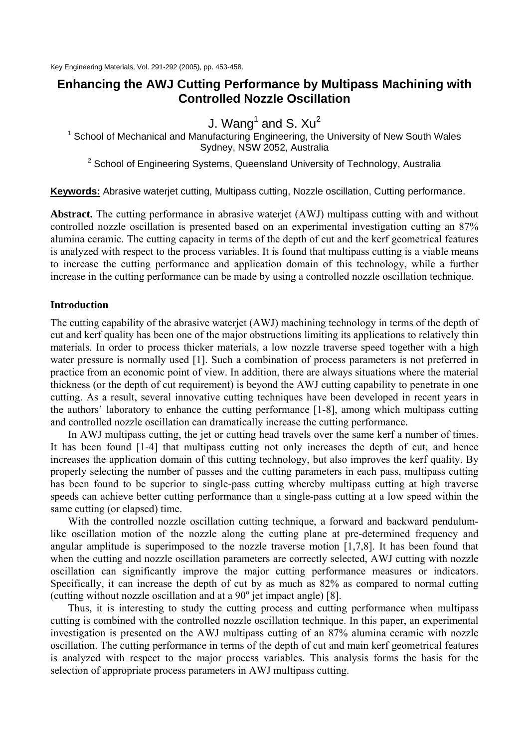### **Enhancing the AWJ Cutting Performance by Multipass Machining with Controlled Nozzle Oscillation**

J. Wang<sup>1</sup> and S.  $Xu^2$ 

<sup>1</sup> School of Mechanical and Manufacturing Engineering, the University of New South Wales Sydney, NSW 2052, Australia

<sup>2</sup> School of Engineering Systems, Queensland University of Technology, Australia

**Keywords:** Abrasive waterjet cutting, Multipass cutting, Nozzle oscillation, Cutting performance.

**Abstract.** The cutting performance in abrasive waterjet (AWJ) multipass cutting with and without controlled nozzle oscillation is presented based on an experimental investigation cutting an 87% alumina ceramic. The cutting capacity in terms of the depth of cut and the kerf geometrical features is analyzed with respect to the process variables. It is found that multipass cutting is a viable means to increase the cutting performance and application domain of this technology, while a further increase in the cutting performance can be made by using a controlled nozzle oscillation technique.

#### **Introduction**

The cutting capability of the abrasive waterjet (AWJ) machining technology in terms of the depth of cut and kerf quality has been one of the major obstructions limiting its applications to relatively thin materials. In order to process thicker materials, a low nozzle traverse speed together with a high water pressure is normally used [1]. Such a combination of process parameters is not preferred in practice from an economic point of view. In addition, there are always situations where the material thickness (or the depth of cut requirement) is beyond the AWJ cutting capability to penetrate in one cutting. As a result, several innovative cutting techniques have been developed in recent years in the authors' laboratory to enhance the cutting performance [1-8], among which multipass cutting and controlled nozzle oscillation can dramatically increase the cutting performance.

In AWJ multipass cutting, the jet or cutting head travels over the same kerf a number of times. It has been found [1-4] that multipass cutting not only increases the depth of cut, and hence increases the application domain of this cutting technology, but also improves the kerf quality. By properly selecting the number of passes and the cutting parameters in each pass, multipass cutting has been found to be superior to single-pass cutting whereby multipass cutting at high traverse speeds can achieve better cutting performance than a single-pass cutting at a low speed within the same cutting (or elapsed) time.

With the controlled nozzle oscillation cutting technique, a forward and backward pendulumlike oscillation motion of the nozzle along the cutting plane at pre-determined frequency and angular amplitude is superimposed to the nozzle traverse motion [1,7,8]. It has been found that when the cutting and nozzle oscillation parameters are correctly selected, AWJ cutting with nozzle oscillation can significantly improve the major cutting performance measures or indicators. Specifically, it can increase the depth of cut by as much as 82% as compared to normal cutting (cutting without nozzle oscillation and at a  $90^\circ$  jet impact angle) [8].

Thus, it is interesting to study the cutting process and cutting performance when multipass cutting is combined with the controlled nozzle oscillation technique. In this paper, an experimental investigation is presented on the AWJ multipass cutting of an 87% alumina ceramic with nozzle oscillation. The cutting performance in terms of the depth of cut and main kerf geometrical features is analyzed with respect to the major process variables. This analysis forms the basis for the selection of appropriate process parameters in AWJ multipass cutting.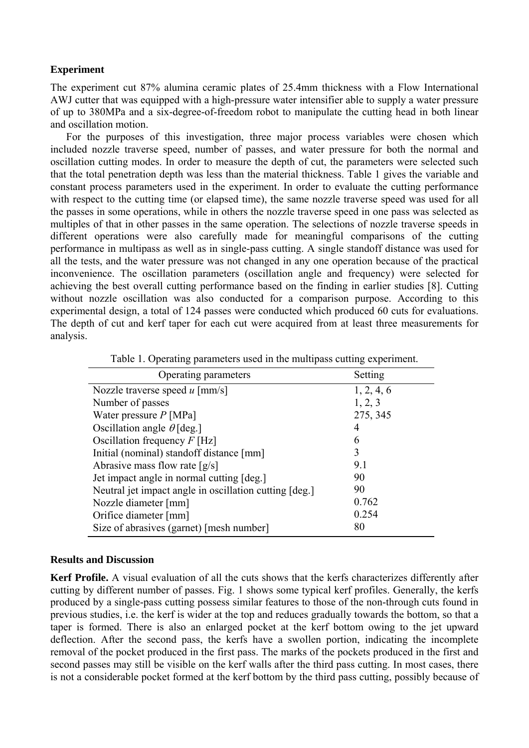#### **Experiment**

The experiment cut 87% alumina ceramic plates of 25.4mm thickness with a Flow International AWJ cutter that was equipped with a high-pressure water intensifier able to supply a water pressure of up to 380MPa and a six-degree-of-freedom robot to manipulate the cutting head in both linear and oscillation motion.

For the purposes of this investigation, three major process variables were chosen which included nozzle traverse speed, number of passes, and water pressure for both the normal and oscillation cutting modes. In order to measure the depth of cut, the parameters were selected such that the total penetration depth was less than the material thickness. Table 1 gives the variable and constant process parameters used in the experiment. In order to evaluate the cutting performance with respect to the cutting time (or elapsed time), the same nozzle traverse speed was used for all the passes in some operations, while in others the nozzle traverse speed in one pass was selected as multiples of that in other passes in the same operation. The selections of nozzle traverse speeds in different operations were also carefully made for meaningful comparisons of the cutting performance in multipass as well as in single-pass cutting. A single standoff distance was used for all the tests, and the water pressure was not changed in any one operation because of the practical inconvenience. The oscillation parameters (oscillation angle and frequency) were selected for achieving the best overall cutting performance based on the finding in earlier studies [8]. Cutting without nozzle oscillation was also conducted for a comparison purpose. According to this experimental design, a total of 124 passes were conducted which produced 60 cuts for evaluations. The depth of cut and kerf taper for each cut were acquired from at least three measurements for analysis.

| Operating parameters                                   | Setting    |
|--------------------------------------------------------|------------|
| Nozzle traverse speed $u$ [mm/s]                       | 1, 2, 4, 6 |
| Number of passes                                       | 1, 2, 3    |
| Water pressure $P$ [MPa]                               | 275, 345   |
| Oscillation angle $\theta$ [deg.]                      | 4          |
| Oscillation frequency $F$ [Hz]                         | 6          |
| Initial (nominal) standoff distance [mm]               | 3          |
| Abrasive mass flow rate $[g/s]$                        | 9.1        |
| Jet impact angle in normal cutting [deg.]              | 90         |
| Neutral jet impact angle in oscillation cutting [deg.] | 90         |
| Nozzle diameter [mm]                                   | 0.762      |
| Orifice diameter [mm]                                  | 0.254      |
| Size of abrasives (garnet) [mesh number]               | 80         |

Table 1. Operating parameters used in the multipass cutting experiment.

#### **Results and Discussion**

**Kerf Profile.** A visual evaluation of all the cuts shows that the kerfs characterizes differently after cutting by different number of passes. Fig. 1 shows some typical kerf profiles. Generally, the kerfs produced by a single-pass cutting possess similar features to those of the non-through cuts found in previous studies, i.e. the kerf is wider at the top and reduces gradually towards the bottom, so that a taper is formed. There is also an enlarged pocket at the kerf bottom owing to the jet upward deflection. After the second pass, the kerfs have a swollen portion, indicating the incomplete removal of the pocket produced in the first pass. The marks of the pockets produced in the first and second passes may still be visible on the kerf walls after the third pass cutting. In most cases, there is not a considerable pocket formed at the kerf bottom by the third pass cutting, possibly because of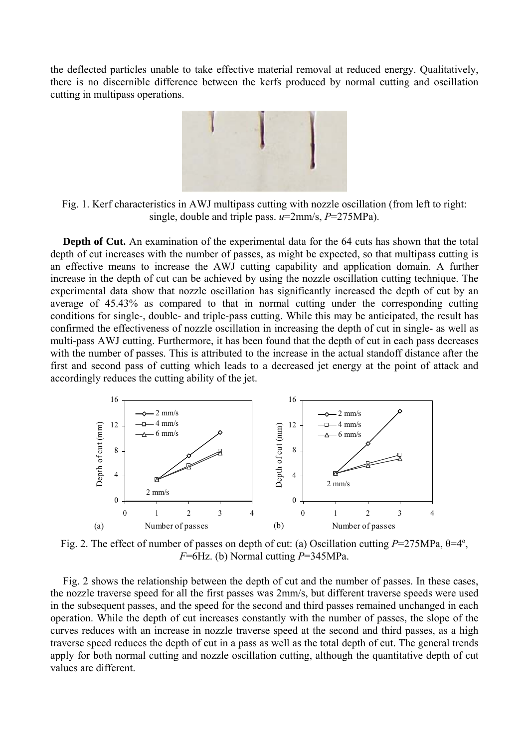the deflected particles unable to take effective material removal at reduced energy. Qualitatively, there is no discernible difference between the kerfs produced by normal cutting and oscillation cutting in multipass operations.



Fig. 1. Kerf characteristics in AWJ multipass cutting with nozzle oscillation (from left to right: single, double and triple pass. *u*=2mm/s, *P*=275MPa).

**Depth of Cut.** An examination of the experimental data for the 64 cuts has shown that the total depth of cut increases with the number of passes, as might be expected, so that multipass cutting is an effective means to increase the AWJ cutting capability and application domain. A further increase in the depth of cut can be achieved by using the nozzle oscillation cutting technique. The experimental data show that nozzle oscillation has significantly increased the depth of cut by an average of 45.43% as compared to that in normal cutting under the corresponding cutting conditions for single-, double- and triple-pass cutting. While this may be anticipated, the result has confirmed the effectiveness of nozzle oscillation in increasing the depth of cut in single- as well as multi-pass AWJ cutting. Furthermore, it has been found that the depth of cut in each pass decreases with the number of passes. This is attributed to the increase in the actual standoff distance after the first and second pass of cutting which leads to a decreased jet energy at the point of attack and accordingly reduces the cutting ability of the jet.



Fig. 2. The effect of number of passes on depth of cut: (a) Oscillation cutting *P*=275MPa, θ=4º, *F*=6Hz. (b) Normal cutting *P*=345MPa.

Fig. 2 shows the relationship between the depth of cut and the number of passes. In these cases, the nozzle traverse speed for all the first passes was 2mm/s, but different traverse speeds were used in the subsequent passes, and the speed for the second and third passes remained unchanged in each operation. While the depth of cut increases constantly with the number of passes, the slope of the curves reduces with an increase in nozzle traverse speed at the second and third passes, as a high traverse speed reduces the depth of cut in a pass as well as the total depth of cut. The general trends apply for both normal cutting and nozzle oscillation cutting, although the quantitative depth of cut values are different.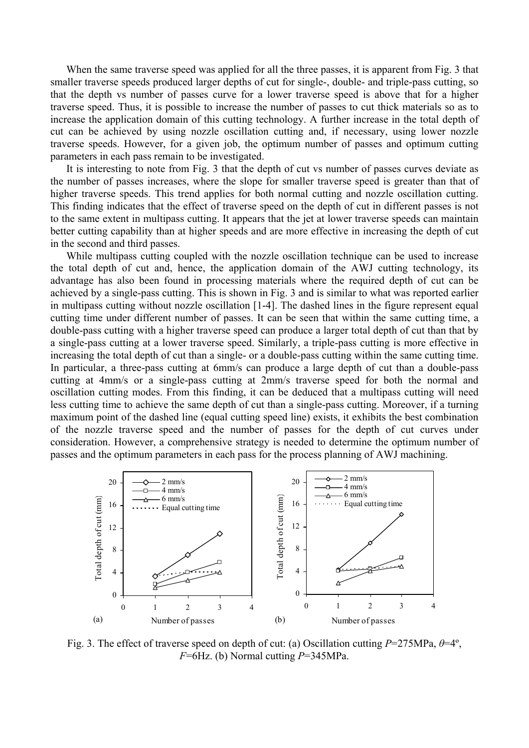When the same traverse speed was applied for all the three passes, it is apparent from Fig. 3 that smaller traverse speeds produced larger depths of cut for single-, double- and triple-pass cutting, so that the depth vs number of passes curve for a lower traverse speed is above that for a higher traverse speed. Thus, it is possible to increase the number of passes to cut thick materials so as to increase the application domain of this cutting technology. A further increase in the total depth of cut can be achieved by using nozzle oscillation cutting and, if necessary, using lower nozzle traverse speeds. However, for a given job, the optimum number of passes and optimum cutting parameters in each pass remain to be investigated.

It is interesting to note from Fig. 3 that the depth of cut vs number of passes curves deviate as the number of passes increases, where the slope for smaller traverse speed is greater than that of higher traverse speeds. This trend applies for both normal cutting and nozzle oscillation cutting. This finding indicates that the effect of traverse speed on the depth of cut in different passes is not to the same extent in multipass cutting. It appears that the jet at lower traverse speeds can maintain better cutting capability than at higher speeds and are more effective in increasing the depth of cut in the second and third passes.

While multipass cutting coupled with the nozzle oscillation technique can be used to increase the total depth of cut and, hence, the application domain of the AWJ cutting technology, its advantage has also been found in processing materials where the required depth of cut can be achieved by a single-pass cutting. This is shown in Fig. 3 and is similar to what was reported earlier in multipass cutting without nozzle oscillation [1-4]. The dashed lines in the figure represent equal cutting time under different number of passes. It can be seen that within the same cutting time, a double-pass cutting with a higher traverse speed can produce a larger total depth of cut than that by a single-pass cutting at a lower traverse speed. Similarly, a triple-pass cutting is more effective in increasing the total depth of cut than a single- or a double-pass cutting within the same cutting time. In particular, a three-pass cutting at 6mm/s can produce a large depth of cut than a double-pass cutting at 4mm/s or a single-pass cutting at 2mm/s traverse speed for both the normal and oscillation cutting modes. From this finding, it can be deduced that a multipass cutting will need less cutting time to achieve the same depth of cut than a single-pass cutting. Moreover, if a turning maximum point of the dashed line (equal cutting speed line) exists, it exhibits the best combination of the nozzle traverse speed and the number of passes for the depth of cut curves under consideration. However, a comprehensive strategy is needed to determine the optimum number of passes and the optimum parameters in each pass for the process planning of AWJ machining.



Fig. 3. The effect of traverse speed on depth of cut: (a) Oscillation cutting *P*=275MPa, *θ*=4º, *F*=6Hz. (b) Normal cutting *P*=345MPa.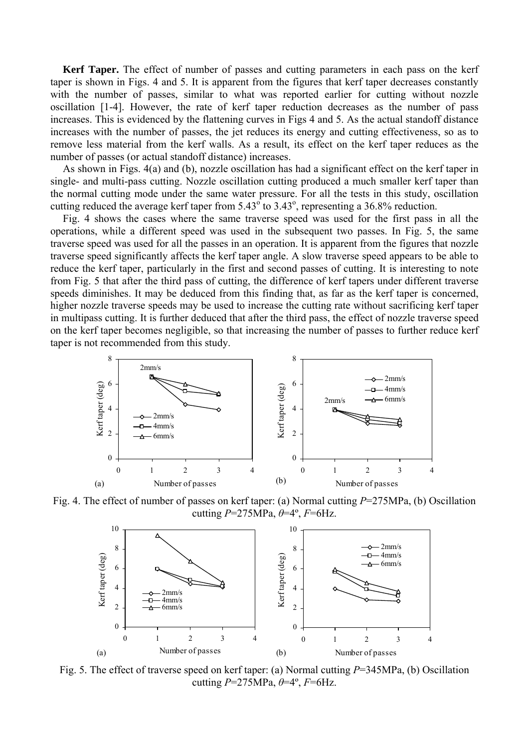**Kerf Taper.** The effect of number of passes and cutting parameters in each pass on the kerf taper is shown in Figs. 4 and 5. It is apparent from the figures that kerf taper decreases constantly with the number of passes, similar to what was reported earlier for cutting without nozzle oscillation [1-4]. However, the rate of kerf taper reduction decreases as the number of pass increases. This is evidenced by the flattening curves in Figs 4 and 5. As the actual standoff distance increases with the number of passes, the jet reduces its energy and cutting effectiveness, so as to remove less material from the kerf walls. As a result, its effect on the kerf taper reduces as the number of passes (or actual standoff distance) increases.

As shown in Figs. 4(a) and (b), nozzle oscillation has had a significant effect on the kerf taper in single- and multi-pass cutting. Nozzle oscillation cutting produced a much smaller kerf taper than the normal cutting mode under the same water pressure. For all the tests in this study, oscillation cutting reduced the average kerf taper from  $5.43^\circ$  to  $3.43^\circ$ , representing a 36.8% reduction.

Fig. 4 shows the cases where the same traverse speed was used for the first pass in all the operations, while a different speed was used in the subsequent two passes. In Fig. 5, the same traverse speed was used for all the passes in an operation. It is apparent from the figures that nozzle traverse speed significantly affects the kerf taper angle. A slow traverse speed appears to be able to reduce the kerf taper, particularly in the first and second passes of cutting. It is interesting to note from Fig. 5 that after the third pass of cutting, the difference of kerf tapers under different traverse speeds diminishes. It may be deduced from this finding that, as far as the kerf taper is concerned, higher nozzle traverse speeds may be used to increase the cutting rate without sacrificing kerf taper in multipass cutting. It is further deduced that after the third pass, the effect of nozzle traverse speed on the kerf taper becomes negligible, so that increasing the number of passes to further reduce kerf taper is not recommended from this study.



Fig. 4. The effect of number of passes on kerf taper: (a) Normal cutting *P*=275MPa, (b) Oscillation cutting *P*=275MPa, *θ*=4º, *F*=6Hz.



Fig. 5. The effect of traverse speed on kerf taper: (a) Normal cutting *P*=345MPa, (b) Oscillation cutting *P*=275MPa, *θ*=4º, *F*=6Hz.